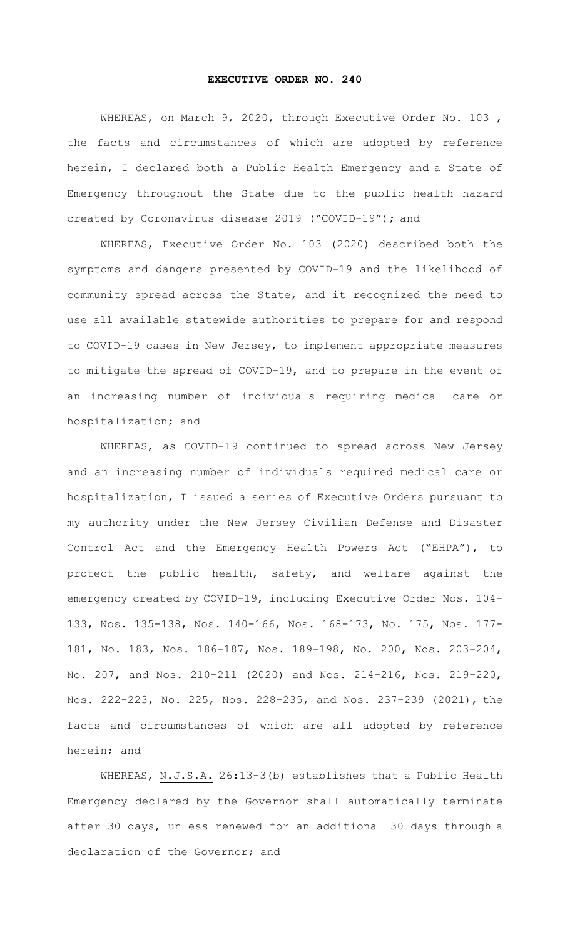## **EXECUTIVE ORDER NO. 240**

WHEREAS, on March 9, 2020, through Executive Order No. 103 , the facts and circumstances of which are adopted by reference herein, I declared both a Public Health Emergency and a State of Emergency throughout the State due to the public health hazard created by Coronavirus disease 2019 ("COVID-19"); and

WHEREAS, Executive Order No. 103 (2020) described both the symptoms and dangers presented by COVID-19 and the likelihood of community spread across the State, and it recognized the need to use all available statewide authorities to prepare for and respond to COVID-19 cases in New Jersey, to implement appropriate measures to mitigate the spread of COVID-19, and to prepare in the event of an increasing number of individuals requiring medical care or hospitalization; and

WHEREAS, as COVID-19 continued to spread across New Jersey and an increasing number of individuals required medical care or hospitalization, I issued a series of Executive Orders pursuant to my authority under the New Jersey Civilian Defense and Disaster Control Act and the Emergency Health Powers Act ("EHPA"), to protect the public health, safety, and welfare against the emergency created by COVID-19, including Executive Order Nos. 104- 133, Nos. 135-138, Nos. 140-166, Nos. 168-173, No. 175, Nos. 177- 181, No. 183, Nos. 186-187, Nos. 189-198, No. 200, Nos. 203-204, No. 207, and Nos. 210-211 (2020) and Nos. 214-216, Nos. 219-220, Nos. 222-223, No. 225, Nos. 228-235, and Nos. 237-239 (2021), the facts and circumstances of which are all adopted by reference herein; and

WHEREAS, N.J.S.A. 26:13-3(b) establishes that a Public Health Emergency declared by the Governor shall automatically terminate after 30 days, unless renewed for an additional 30 days through a declaration of the Governor; and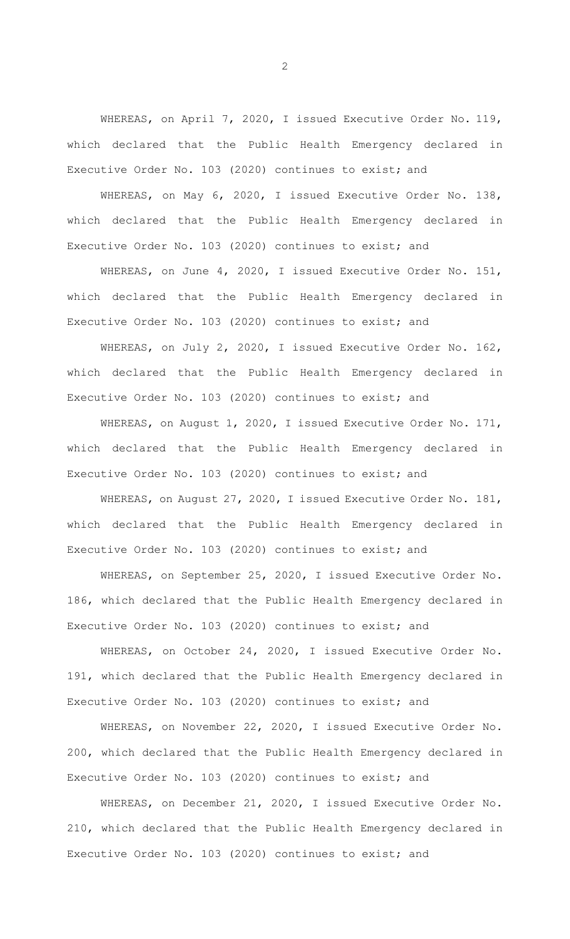WHEREAS, on April 7, 2020, I issued Executive Order No. 119, which declared that the Public Health Emergency declared in Executive Order No. 103 (2020) continues to exist; and

WHEREAS, on May 6, 2020, I issued Executive Order No. 138, which declared that the Public Health Emergency declared in Executive Order No. 103 (2020) continues to exist; and

WHEREAS, on June 4, 2020, I issued Executive Order No. 151, which declared that the Public Health Emergency declared in Executive Order No. 103 (2020) continues to exist; and

WHEREAS, on July 2, 2020, I issued Executive Order No. 162, which declared that the Public Health Emergency declared in Executive Order No. 103 (2020) continues to exist; and

WHEREAS, on August 1, 2020, I issued Executive Order No. 171, which declared that the Public Health Emergency declared in Executive Order No. 103 (2020) continues to exist; and

WHEREAS, on August 27, 2020, I issued Executive Order No. 181, which declared that the Public Health Emergency declared in Executive Order No. 103 (2020) continues to exist; and

WHEREAS, on September 25, 2020, I issued Executive Order No. 186, which declared that the Public Health Emergency declared in Executive Order No. 103 (2020) continues to exist; and

WHEREAS, on October 24, 2020, I issued Executive Order No. 191, which declared that the Public Health Emergency declared in Executive Order No. 103 (2020) continues to exist; and

WHEREAS, on November 22, 2020, I issued Executive Order No. 200, which declared that the Public Health Emergency declared in Executive Order No. 103 (2020) continues to exist; and

WHEREAS, on December 21, 2020, I issued Executive Order No. 210, which declared that the Public Health Emergency declared in Executive Order No. 103 (2020) continues to exist; and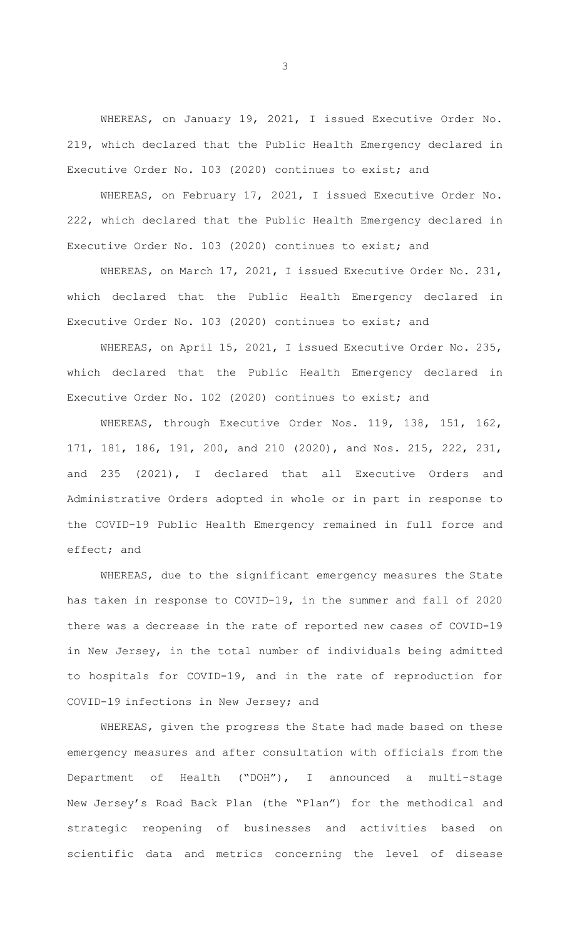WHEREAS, on January 19, 2021, I issued Executive Order No. 219, which declared that the Public Health Emergency declared in Executive Order No. 103 (2020) continues to exist; and

WHEREAS, on February 17, 2021, I issued Executive Order No. 222, which declared that the Public Health Emergency declared in Executive Order No. 103 (2020) continues to exist; and

WHEREAS, on March 17, 2021, I issued Executive Order No. 231, which declared that the Public Health Emergency declared in Executive Order No. 103 (2020) continues to exist; and

WHEREAS, on April 15, 2021, I issued Executive Order No. 235, which declared that the Public Health Emergency declared in Executive Order No. 102 (2020) continues to exist; and

WHEREAS, through Executive Order Nos. 119, 138, 151, 162, 171, 181, 186, 191, 200, and 210 (2020), and Nos. 215, 222, 231, and 235 (2021), I declared that all Executive Orders and Administrative Orders adopted in whole or in part in response to the COVID-19 Public Health Emergency remained in full force and effect; and

WHEREAS, due to the significant emergency measures the State has taken in response to COVID-19, in the summer and fall of 2020 there was a decrease in the rate of reported new cases of COVID-19 in New Jersey, in the total number of individuals being admitted to hospitals for COVID-19, and in the rate of reproduction for COVID-19 infections in New Jersey; and

WHEREAS, given the progress the State had made based on these emergency measures and after consultation with officials from the Department of Health ("DOH"), I announced a multi-stage New Jersey's Road Back Plan (the "Plan") for the methodical and strategic reopening of businesses and activities based on scientific data and metrics concerning the level of disease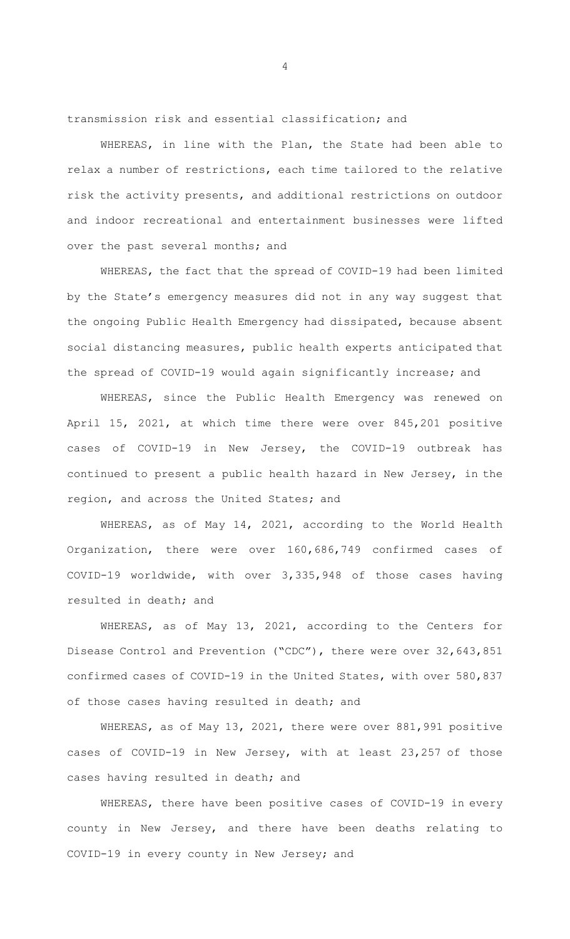transmission risk and essential classification; and

WHEREAS, in line with the Plan, the State had been able to relax a number of restrictions, each time tailored to the relative risk the activity presents, and additional restrictions on outdoor and indoor recreational and entertainment businesses were lifted over the past several months; and

WHEREAS, the fact that the spread of COVID-19 had been limited by the State's emergency measures did not in any way suggest that the ongoing Public Health Emergency had dissipated, because absent social distancing measures, public health experts anticipated that the spread of COVID-19 would again significantly increase; and

WHEREAS, since the Public Health Emergency was renewed on April 15, 2021, at which time there were over 845,201 positive cases of COVID-19 in New Jersey, the COVID-19 outbreak has continued to present a public health hazard in New Jersey, in the region, and across the United States; and

WHEREAS, as of May 14, 2021, according to the World Health Organization, there were over 160,686,749 confirmed cases of COVID-19 worldwide, with over 3,335,948 of those cases having resulted in death; and

WHEREAS, as of May 13, 2021, according to the Centers for Disease Control and Prevention ("CDC"), there were over 32,643,851 confirmed cases of COVID-19 in the United States, with over 580,837 of those cases having resulted in death; and

WHEREAS, as of May 13, 2021, there were over 881,991 positive cases of COVID-19 in New Jersey, with at least 23,257 of those cases having resulted in death; and

WHEREAS, there have been positive cases of COVID-19 in every county in New Jersey, and there have been deaths relating to COVID-19 in every county in New Jersey; and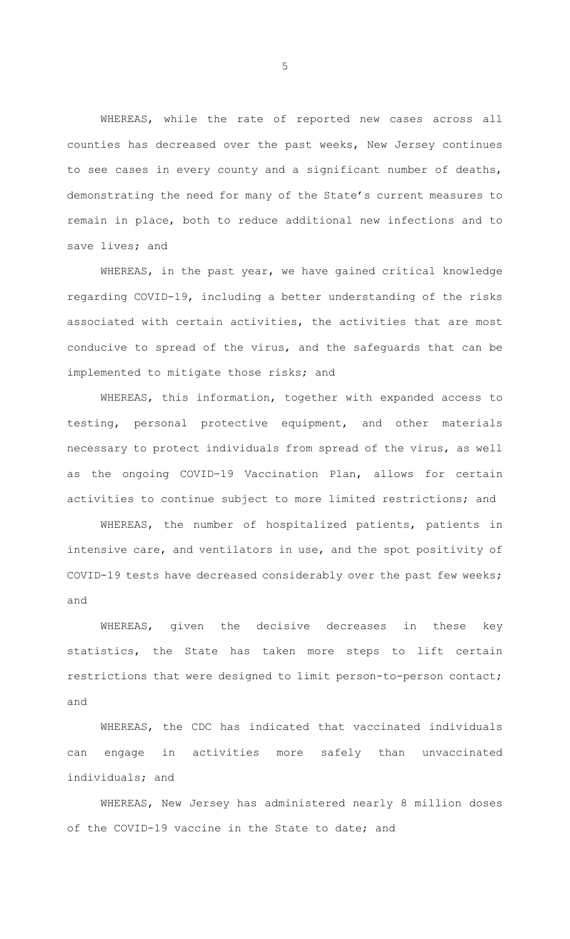WHEREAS, while the rate of reported new cases across all counties has decreased over the past weeks, New Jersey continues to see cases in every county and a significant number of deaths, demonstrating the need for many of the State's current measures to remain in place, both to reduce additional new infections and to save lives; and

WHEREAS, in the past year, we have gained critical knowledge regarding COVID-19, including a better understanding of the risks associated with certain activities, the activities that are most conducive to spread of the virus, and the safeguards that can be implemented to mitigate those risks; and

WHEREAS, this information, together with expanded access to testing, personal protective equipment, and other materials necessary to protect individuals from spread of the virus, as well as the ongoing COVID-19 Vaccination Plan, allows for certain activities to continue subject to more limited restrictions; and

WHEREAS, the number of hospitalized patients, patients in intensive care, and ventilators in use, and the spot positivity of COVID-19 tests have decreased considerably over the past few weeks; and

WHEREAS, given the decisive decreases in these key statistics, the State has taken more steps to lift certain restrictions that were designed to limit person-to-person contact; and

WHEREAS, the CDC has indicated that vaccinated individuals can engage in activities more safely than unvaccinated individuals; and

WHEREAS, New Jersey has administered nearly 8 million doses of the COVID-19 vaccine in the State to date; and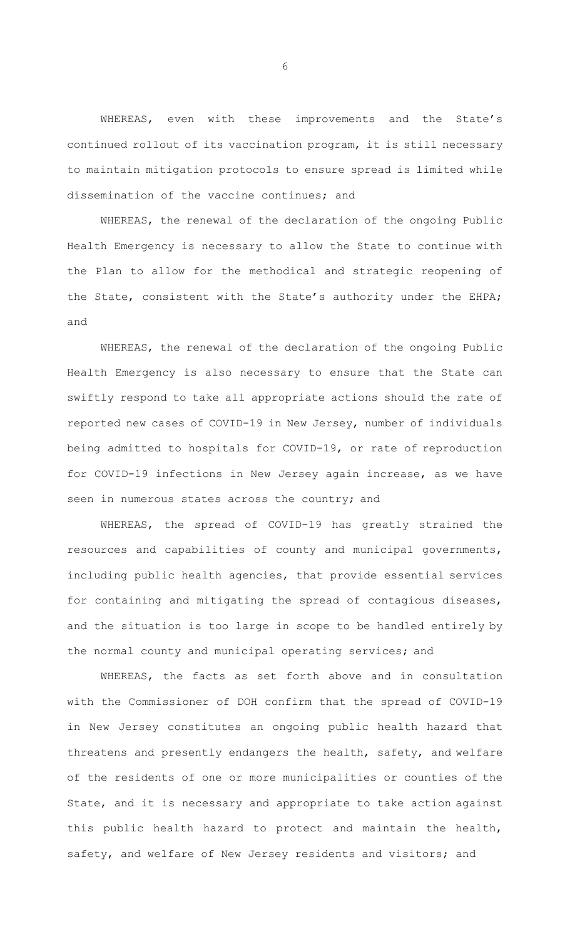WHEREAS, even with these improvements and the State's continued rollout of its vaccination program, it is still necessary to maintain mitigation protocols to ensure spread is limited while dissemination of the vaccine continues; and

WHEREAS, the renewal of the declaration of the ongoing Public Health Emergency is necessary to allow the State to continue with the Plan to allow for the methodical and strategic reopening of the State, consistent with the State's authority under the EHPA; and

WHEREAS, the renewal of the declaration of the ongoing Public Health Emergency is also necessary to ensure that the State can swiftly respond to take all appropriate actions should the rate of reported new cases of COVID-19 in New Jersey, number of individuals being admitted to hospitals for COVID-19, or rate of reproduction for COVID-19 infections in New Jersey again increase, as we have seen in numerous states across the country; and

WHEREAS, the spread of COVID-19 has greatly strained the resources and capabilities of county and municipal governments, including public health agencies, that provide essential services for containing and mitigating the spread of contagious diseases, and the situation is too large in scope to be handled entirely by the normal county and municipal operating services; and

WHEREAS, the facts as set forth above and in consultation with the Commissioner of DOH confirm that the spread of COVID-19 in New Jersey constitutes an ongoing public health hazard that threatens and presently endangers the health, safety, and welfare of the residents of one or more municipalities or counties of the State, and it is necessary and appropriate to take action against this public health hazard to protect and maintain the health, safety, and welfare of New Jersey residents and visitors; and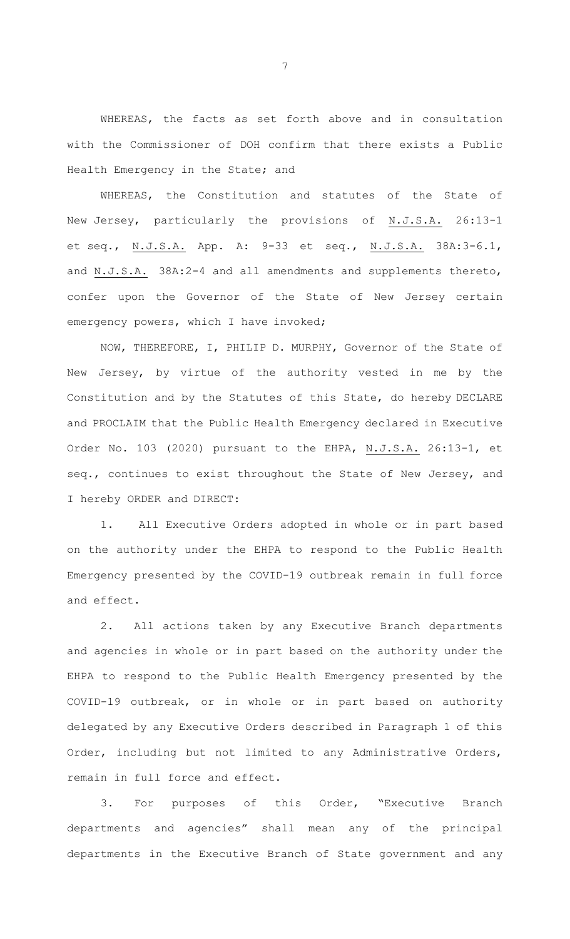WHEREAS, the facts as set forth above and in consultation with the Commissioner of DOH confirm that there exists a Public Health Emergency in the State; and

WHEREAS, the Constitution and statutes of the State of New Jersey, particularly the provisions of N.J.S.A. 26:13-1 et seq., N.J.S.A. App. A: 9-33 et seq., N.J.S.A. 38A:3-6.1, and N.J.S.A. 38A:2-4 and all amendments and supplements thereto, confer upon the Governor of the State of New Jersey certain emergency powers, which I have invoked;

NOW, THEREFORE, I, PHILIP D. MURPHY, Governor of the State of New Jersey, by virtue of the authority vested in me by the Constitution and by the Statutes of this State, do hereby DECLARE and PROCLAIM that the Public Health Emergency declared in Executive Order No. 103 (2020) pursuant to the EHPA, N.J.S.A. 26:13-1, et seq., continues to exist throughout the State of New Jersey, and I hereby ORDER and DIRECT:

1. All Executive Orders adopted in whole or in part based on the authority under the EHPA to respond to the Public Health Emergency presented by the COVID-19 outbreak remain in full force and effect.

2. All actions taken by any Executive Branch departments and agencies in whole or in part based on the authority under the EHPA to respond to the Public Health Emergency presented by the COVID-19 outbreak, or in whole or in part based on authority delegated by any Executive Orders described in Paragraph 1 of this Order, including but not limited to any Administrative Orders, remain in full force and effect.

3. For purposes of this Order, "Executive Branch departments and agencies" shall mean any of the principal departments in the Executive Branch of State government and any